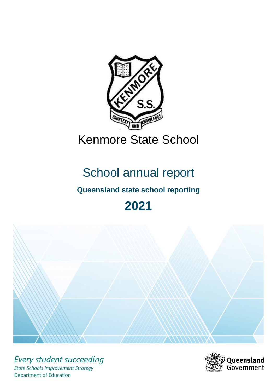

# School annual report

# **Queensland state school reporting**

# **2021**



*Every student succeeding State Schools Improvement Strategy* Department of Education

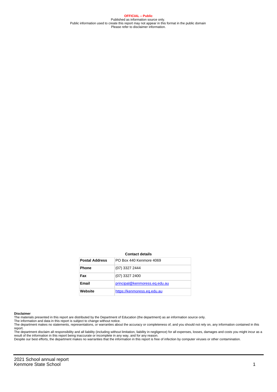**OFFICIAL – Public** Published as information source only. Public information used to create this report may not appear in this format in the public domain Please refer to disclaimer information.

#### **Contact details**

| <b>Postal Address</b> | PO Box 440 Kenmore 4069       |
|-----------------------|-------------------------------|
| <b>Phone</b>          | (07) 3327 2444                |
| Fax                   | (07) 3327 2400                |
| <b>Email</b>          | principal@kenmoress.eq.edu.au |
| Website               | https://kenmoress.eq.edu.au   |

#### **Disclaimer**

The materials presented in this report are distributed by the Department of Education (the department) as an information source only.

The information and data in this report is subject to change without notice.<br>The department makes no statements, representations, or warranties about the accuracy or completeness of, and you should not rely on, any informa report.

The department disclaim all responsibility and all liability (including without limitation, liability in negligence) for all expenses, losses, damages and costs you might incur as a result of the information in this report being inaccurate or incomplete in any way, and for any reason.

Despite our best efforts, the department makes no warranties that the information in this report is free of infection by computer viruses or other contamination.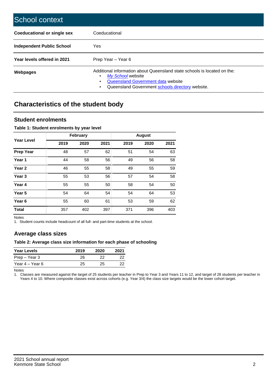| School context                   |                                                                                                                                                                                              |
|----------------------------------|----------------------------------------------------------------------------------------------------------------------------------------------------------------------------------------------|
| Coeducational or single sex      | Coeducational                                                                                                                                                                                |
| <b>Independent Public School</b> | <b>Yes</b>                                                                                                                                                                                   |
| Year levels offered in 2021      | Prep Year - Year 6                                                                                                                                                                           |
| Webpages                         | Additional information about Queensland state schools is located on the:<br>My School website<br>Queensland Government data website<br>Queensland Government schools directory website.<br>٠ |

# **Characteristics of the student body**

### **Student enrolments**

#### **Table 1: Student enrolments by year level**

|                   |      | <b>February</b> |      |      | <b>August</b> |      |
|-------------------|------|-----------------|------|------|---------------|------|
| <b>Year Level</b> | 2019 | 2020            | 2021 | 2019 | 2020          | 2021 |
| <b>Prep Year</b>  | 48   | 57              | 62   | 51   | 54            | 63   |
| Year 1            | 44   | 58              | 56   | 49   | 56            | 58   |
| Year 2            | 46   | 55              | 58   | 49   | 55            | 59   |
| Year <sub>3</sub> | 55   | 53              | 56   | 57   | 54            | 58   |
| Year 4            | 55   | 55              | 50   | 58   | 54            | 50   |
| Year <sub>5</sub> | 54   | 64              | 54   | 54   | 64            | 53   |
| Year <sub>6</sub> | 55   | 60              | 61   | 53   | 59            | 62   |
| <b>Total</b>      | 357  | 402             | 397  | 371  | 396           | 403  |

Notes

1. Student counts include headcount of all full- and part-time students at the school.

## **Average class sizes**

#### **Table 2: Average class size information for each phase of schooling**

| <b>Year Levels</b> | 2019 | 2020 | 2021 |
|--------------------|------|------|------|
| Prep – Year 3      | 26   | フフ   | 22   |
| Year 4 – Year 6    | 25   | 25   | 22   |

Notes

1. Classes are measured against the target of 25 students per teacher in Prep to Year 3 and Years 11 to 12, and target of 28 students per teacher in Years 4 to 10. Where composite classes exist across cohorts (e.g. Year 3/4) the class size targets would be the lower cohort target.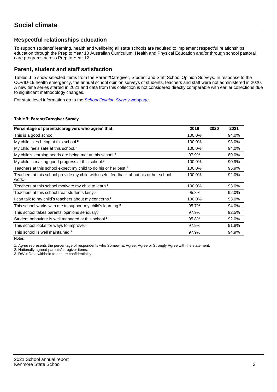## **Respectful relationships education**

To support students' learning, health and wellbeing all state schools are required to implement respectful relationships education through the Prep to Year 10 Australian Curriculum: Health and Physical Education and/or through school pastoral care programs across Prep to Year 12.

### **Parent, student and staff satisfaction**

Tables 3–5 show selected items from the Parent/Caregiver, Student and Staff School Opinion Surveys. In response to the COVID-19 health emergency, the annual school opinion surveys of students, teachers and staff were not administered in 2020. A new time series started in 2021 and data from this collection is not considered directly comparable with earlier collections due to significant methodology changes.

For state level information go to the **[School Opinion Survey](https://qed.qld.gov.au/publications/reports/statistics/schooling/schools/schoolopinionsurvey) webpage**.

#### **Table 3: Parent/Caregiver Survey**

| Percentage of parents/caregivers who agree <sup>1</sup> that:                                               | 2019   | 2020 | 2021  |
|-------------------------------------------------------------------------------------------------------------|--------|------|-------|
| This is a good school.                                                                                      | 100.0% |      | 94.0% |
| My child likes being at this school. <sup>2</sup>                                                           | 100.0% |      | 93.0% |
| My child feels safe at this school. <sup>2</sup>                                                            | 100.0% |      | 94.0% |
| My child's learning needs are being met at this school. <sup>2</sup>                                        | 97.9%  |      | 89.0% |
| My child is making good progress at this school. <sup>2</sup>                                               | 100.0% |      | 90.9% |
| Teachers at this school expect my child to do his or her best. <sup>2</sup>                                 | 100.0% |      | 95.9% |
| Teachers at this school provide my child with useful feedback about his or her school<br>work. <sup>2</sup> | 100.0% |      | 92.0% |
| Teachers at this school motivate my child to learn. <sup>2</sup>                                            | 100.0% |      | 93.0% |
| Teachers at this school treat students fairly. <sup>2</sup>                                                 | 95.8%  |      | 92.0% |
| I can talk to my child's teachers about my concerns. <sup>2</sup>                                           | 100.0% |      | 93.0% |
| This school works with me to support my child's learning. <sup>2</sup>                                      | 95.7%  |      | 94.0% |
| This school takes parents' opinions seriously. <sup>2</sup>                                                 | 97.9%  |      | 92.5% |
| Student behaviour is well managed at this school. <sup>2</sup>                                              | 95.8%  |      | 92.0% |
| This school looks for ways to improve. <sup>2</sup>                                                         | 97.9%  |      | 91.8% |
| This school is well maintained. <sup>2</sup>                                                                | 97.9%  |      | 94.9% |

Notes

1. Agree represents the percentage of respondents who Somewhat Agree, Agree or Strongly Agree with the statement.

2. Nationally agreed parents/caregiver items.

3. DW = Data withheld to ensure confidentiality.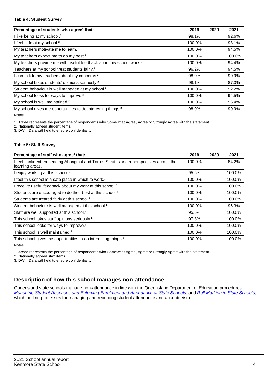#### **Table 4: Student Survey**

| Percentage of students who agree <sup>1</sup> that:                            | 2019   | 2020 | 2021   |
|--------------------------------------------------------------------------------|--------|------|--------|
| I like being at my school. <sup>2</sup>                                        | 98.1%  |      | 92.6%  |
| I feel safe at my school. <sup>2</sup>                                         | 100.0% |      | 98.1%  |
| My teachers motivate me to learn. <sup>2</sup>                                 | 100.0% |      | 94.5%  |
| My teachers expect me to do my best. <sup>2</sup>                              | 100.0% |      | 100.0% |
| My teachers provide me with useful feedback about my school work. <sup>2</sup> | 100.0% |      | 94.4%  |
| Teachers at my school treat students fairly. <sup>2</sup>                      | 96.2%  |      | 94.5%  |
| I can talk to my teachers about my concerns. <sup>2</sup>                      | 98.0%  |      | 90.9%  |
| My school takes students' opinions seriously. <sup>2</sup>                     | 98.1%  |      | 87.3%  |
| Student behaviour is well managed at my school. <sup>2</sup>                   | 100.0% |      | 92.2%  |
| My school looks for ways to improve. <sup>2</sup>                              | 100.0% |      | 94.5%  |
| My school is well maintained. <sup>2</sup>                                     | 100.0% |      | 96.4%  |
| My school gives me opportunities to do interesting things. <sup>2</sup>        | 98.0%  |      | 90.9%  |

Notes

1. Agree represents the percentage of respondents who Somewhat Agree, Agree or Strongly Agree with the statement.

2. Nationally agreed student items.

3. DW = Data withheld to ensure confidentiality.

#### **Table 5: Staff Survey**

| Percentage of staff who agree <sup>1</sup> that:                                                            | 2019   | 2020 | 2021   |
|-------------------------------------------------------------------------------------------------------------|--------|------|--------|
| I feel confident embedding Aboriginal and Torres Strait Islander perspectives across the<br>learning areas. | 100.0% |      | 84.2%  |
| I enjoy working at this school. <sup>2</sup>                                                                | 95.6%  |      | 100.0% |
| I feel this school is a safe place in which to work. <sup>2</sup>                                           | 100.0% |      | 100.0% |
| I receive useful feedback about my work at this school. <sup>2</sup>                                        | 100.0% |      | 100.0% |
| Students are encouraged to do their best at this school. <sup>2</sup>                                       | 100.0% |      | 100.0% |
| Students are treated fairly at this school. <sup>2</sup>                                                    | 100.0% |      | 100.0% |
| Student behaviour is well managed at this school. <sup>2</sup>                                              | 100.0% |      | 96.3%  |
| Staff are well supported at this school. <sup>2</sup>                                                       | 95.6%  |      | 100.0% |
| This school takes staff opinions seriously. <sup>2</sup>                                                    | 97.8%  |      | 100.0% |
| This school looks for ways to improve. <sup>2</sup>                                                         | 100.0% |      | 100.0% |
| This school is well maintained. <sup>2</sup>                                                                | 100.0% |      | 100.0% |
| This school gives me opportunities to do interesting things. <sup>2</sup>                                   | 100.0% |      | 100.0% |

Notes

1. Agree represents the percentage of respondents who Somewhat Agree, Agree or Strongly Agree with the statement.

2. Nationally agreed staff items.

3. DW = Data withheld to ensure confidentiality.

## **Description of how this school manages non-attendance**

Queensland state schools manage non-attendance in line with the Queensland Department of Education procedures: [Managing Student Absences and Enforcing Enrolment and Attendance at State Schools](https://ppr.qed.qld.gov.au/pp/managing-student-absences-and-enforcing-enrolment-and-attendance-at-state-schools-procedure); and [Roll Marking in State Schools,](https://ppr.qed.qld.gov.au/pp/roll-marking-in-state-schools-procedure) which outline processes for managing and recording student attendance and absenteeism.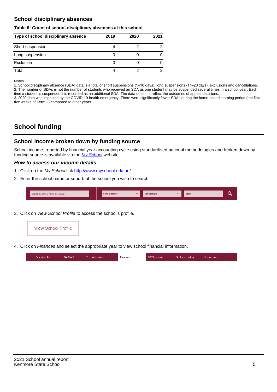## **School disciplinary absences**

#### **Table 6: Count of school disciplinary absences at this school**

| Type of school disciplinary absence | 2019 | 2020 | 2021 |
|-------------------------------------|------|------|------|
| Short suspension                    |      |      |      |
| Long suspension                     |      |      |      |
| Exclusion                           |      |      |      |
| Total                               | 4    |      | 2    |

Notes

1. School disciplinary absence (SDA) data is a total of short suspensions (1–10 days), long suspensions (11–20 days), exclusions and cancellations. 2. The number of SDAs is not the number of students who received an SDA as one student may be suspended several times in a school year. Each time a student is suspended it is recorded as an additional SDA. The data does not reflect the outcomes of appeal decisions.

3. 2020 data was impacted by the COVID-19 health emergency. There were significantly fewer SDAs during the home-based learning period (the first five weeks of Term 2) compared to other years.

# **School funding**

## **School income broken down by funding source**

School income, reported by financial year accounting cycle using standardised national methodologies and broken down by funding source is available via the  $My$  School website.

#### **How to access our income details**

- 1. Click on the My School link <http://www.myschool.edu.au/>.
- 2. Enter the school name or suburb of the school you wish to search.

|  | Search by school name or suburb |  | <b>School sector</b> |  | $\sim$ and $\sim$ represents the set of $\sim$ | <b>State</b> |  |  |  |
|--|---------------------------------|--|----------------------|--|------------------------------------------------|--------------|--|--|--|
|--|---------------------------------|--|----------------------|--|------------------------------------------------|--------------|--|--|--|

3. Click on View School Profile to access the school's profile.



4. Click on Finances and select the appropriate year to view school financial information.

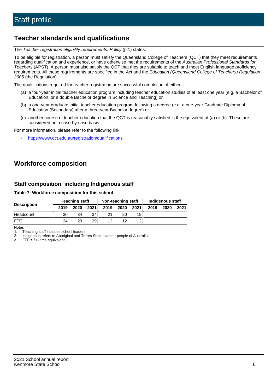# **Teacher standards and qualifications**

The Teacher registration eligibility requirements: Policy (p.1) states:

To be eligible for registration, a person must satisfy the Queensland College of Teachers (QCT) that they meet requirements regarding qualification and experience, or have otherwise met the requirements of the Australian Professional Standards for Teachers (APST). A person must also satisfy the QCT that they are suitable to teach and meet English language proficiency requirements. All these requirements are specified in the Act and the Education (Queensland College of Teachers) Regulation 2005 (the Regulation).

The qualifications required for teacher registration are successful completion of either -

- (a) a four-year initial teacher education program including teacher education studies of at least one year (e.g. a Bachelor of Education, or a double Bachelor degree in Science and Teaching) or
- (b) a one-year graduate initial teacher education program following a degree (e.g. a one-year Graduate Diploma of Education (Secondary) after a three-year Bachelor degree) or
- (c) another course of teacher education that the QCT is reasonably satisfied is the equivalent of (a) or (b). These are considered on a case-by-case basis.

For more information, please refer to the following link:

• <https://www.qct.edu.au/registration/qualifications>

# **Workforce composition**

## **Staff composition, including Indigenous staff**

#### **Table 7: Workforce composition for this school**

|                    |      | <b>Teaching staff</b> |                 |      | Non-teaching staff |                 |      | Indigenous staff |      |
|--------------------|------|-----------------------|-----------------|------|--------------------|-----------------|------|------------------|------|
| <b>Description</b> | 2019 | 2020                  | 2021            | 2019 | 2020               | 2021            | 2019 | 2020             | 2021 |
| Headcount          | 30   | 34                    | 34 <sub>1</sub> | 21   | 20                 | 19              |      |                  |      |
| <b>FTE</b>         | 24   | 29                    | 29.             | 12   | 12                 | 12 <sub>1</sub> |      |                  |      |

Notes

1. Teaching staff includes school leaders.

2. Indigenous refers to Aboriginal and Torres Strait Islander people of Australia.

3. FTE = full-time equivalent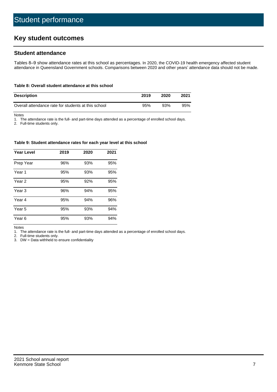# **Key student outcomes**

## **Student attendance**

Tables 8–9 show attendance rates at this school as percentages. In 2020, the COVID-19 health emergency affected student attendance in Queensland Government schools. Comparisons between 2020 and other years' attendance data should not be made.

#### **Table 8: Overall student attendance at this school**

| <b>Description</b>                                  | 2019 | 2020 | 2021 |
|-----------------------------------------------------|------|------|------|
| Overall attendance rate for students at this school | 95%  | 93%  | 95%  |

Notes

1. The attendance rate is the full- and part-time days attended as a percentage of enrolled school days.

2. Full-time students only.

#### **Table 9: Student attendance rates for each year level at this school**

| <b>Year Level</b> | 2019 | 2020 | 2021 |
|-------------------|------|------|------|
| Prep Year         | 96%  | 93%  | 95%  |
| Year 1            | 95%  | 93%  | 95%  |
| Year 2            | 95%  | 92%  | 95%  |
| Year 3            | 96%  | 94%  | 95%  |
| Year 4            | 95%  | 94%  | 96%  |
| Year 5            | 95%  | 93%  | 94%  |
| Year <sub>6</sub> | 95%  | 93%  | 94%  |

Notes

1. The attendance rate is the full- and part-time days attended as a percentage of enrolled school days.

2. Full-time students only.

3. DW = Data withheld to ensure confidentiality